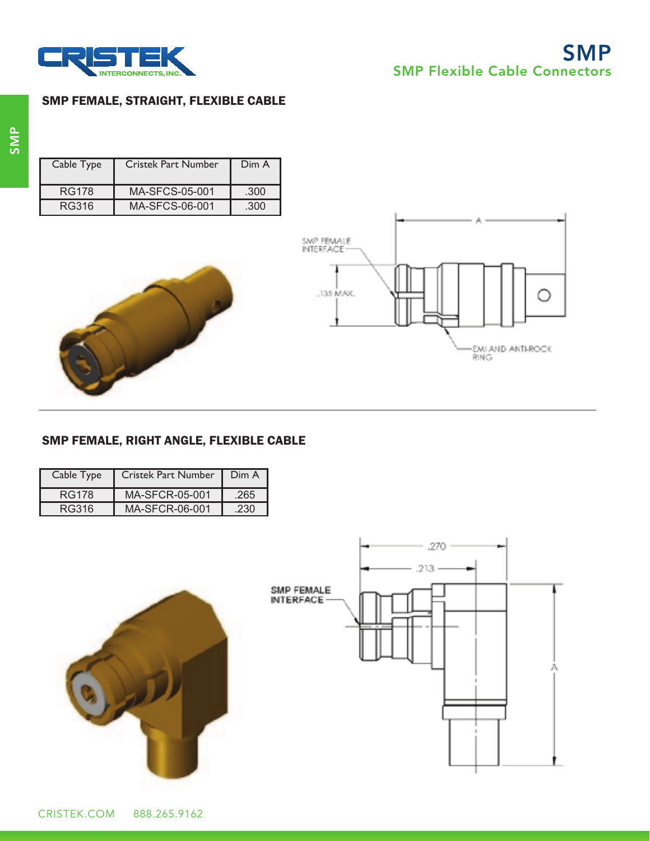

# SMP FEMALE, STRAIGHT, FLEXIBLE CABLE

| Cable Type   | <b>Cristek Part Number</b> | Dim A |
|--------------|----------------------------|-------|
| <b>RG178</b> | MA-SECS-05-001             | .300  |
| RG316        | MA-SECS-06-001             | .300  |





# SMP FEMALE, RIGHT ANGLE, FLEXIBLE CABLE

| Cable Type   | <b>Cristek Part Number</b> | Dim A |
|--------------|----------------------------|-------|
| <b>RG178</b> | MA-SFCR-05-001             | .265  |
| RG316        | MA-SFCR-06-001             | .230  |



**714-696-5200 www.cristek.com Page 15**



CRISTEK.COM 888.265.9162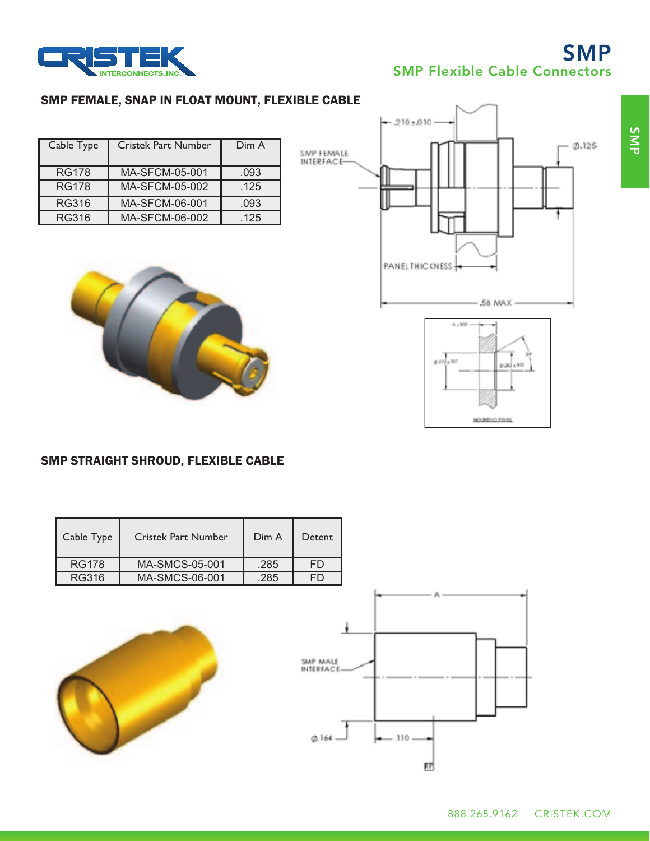

# SMP SMP Flexible Cable Connectors

## SMP FEMALE, SNAP IN FLOAT MOUNT, FLEXIBLE CABLE

| Cable Type   | <b>Cristek Part Number</b> | Dim A |
|--------------|----------------------------|-------|
|              |                            |       |
| <b>RG178</b> | MA-SFCM-05-001             | .093  |
|              |                            |       |
| <b>RG178</b> | <b>MA-SFCM-05-002</b>      | .125  |
|              |                            |       |
|              |                            |       |
| RG316        | MA-SFCM-06-001             | .093  |
|              |                            |       |
| <b>RG316</b> | MA-SFCM-06-002             | .125  |





#### SMP STRAIGHT SHROUD, FLEXIBLE CABLE

| Cable Type   | <b>Cristek Part Number</b> | Dim A | Detent |
|--------------|----------------------------|-------|--------|
| <b>RG178</b> | MA-SMCS-05-001             | .285  | FD     |
| RG316        | MA-SMCS-06-001             | .285  | FŊ     |